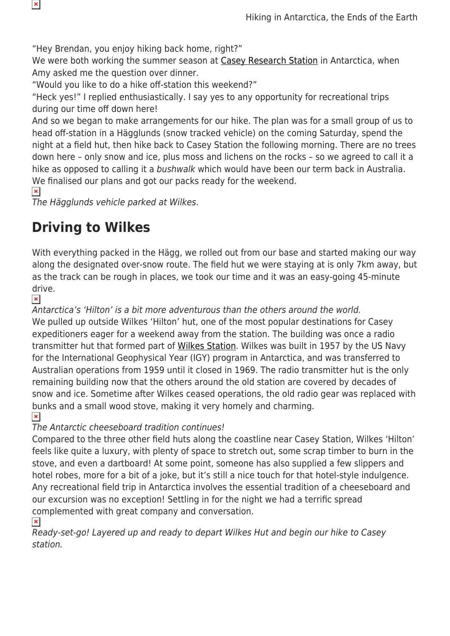"Hey Brendan, you enjoy hiking back home, right?"

We were both working the summer season at [Casey Research Station](https://www.antarctica.gov.au/about-antarctica/history/stations/casey/) in Antarctica, when Amy asked me the question over dinner.

"Would you like to do a hike off-station this weekend?"

"Heck yes!" I replied enthusiastically. I say yes to any opportunity for recreational trips during our time off down here!

And so we began to make arrangements for our hike. The plan was for a small group of us to head off-station in a Hägglunds (snow tracked vehicle) on the coming Saturday, spend the night at a field hut, then hike back to Casey Station the following morning. There are no trees down here – only snow and ice, plus moss and lichens on the rocks – so we agreed to call it a hike as opposed to calling it a bushwalk which would have been our term back in Australia. We finalised our plans and got our packs ready for the weekend.

 $\pmb{\times}$ 

The Hägglunds vehicle parked at Wilkes.

## **Driving to Wilkes**

With everything packed in the Hägg, we rolled out from our base and started making our way along the designated over-snow route. The field hut we were staying at is only 7km away, but as the track can be rough in places, we took our time and it was an easy-going 45-minute drive.

 $\pmb{\times}$ 

Antarctica's 'Hilton' is a bit more adventurous than the others around the world. We pulled up outside Wilkes 'Hilton' hut, one of the most popular destinations for Casey expeditioners eager for a weekend away from the station. The building was once a radio transmitter hut that formed part of [Wilkes Station](https://www.antarctica.gov.au/about-antarctica/history/stations/wilkes/). Wilkes was built in 1957 by the US Navy for the International Geophysical Year (IGY) program in Antarctica, and was transferred to Australian operations from 1959 until it closed in 1969. The radio transmitter hut is the only remaining building now that the others around the old station are covered by decades of snow and ice. Sometime after Wilkes ceased operations, the old radio gear was replaced with bunks and a small wood stove, making it very homely and charming.

 $\pmb{\times}$ 

## The Antarctic cheeseboard tradition continues!

Compared to the three other field huts along the coastline near Casey Station, Wilkes 'Hilton' feels like quite a luxury, with plenty of space to stretch out, some scrap timber to burn in the stove, and even a dartboard! At some point, someone has also supplied a few slippers and hotel robes, more for a bit of a joke, but it's still a nice touch for that hotel-style indulgence. Any recreational field trip in Antarctica involves the essential tradition of a cheeseboard and our excursion was no exception! Settling in for the night we had a terrific spread complemented with great company and conversation.

 $\pmb{\times}$ 

Ready-set-go! Layered up and ready to depart Wilkes Hut and begin our hike to Casey station.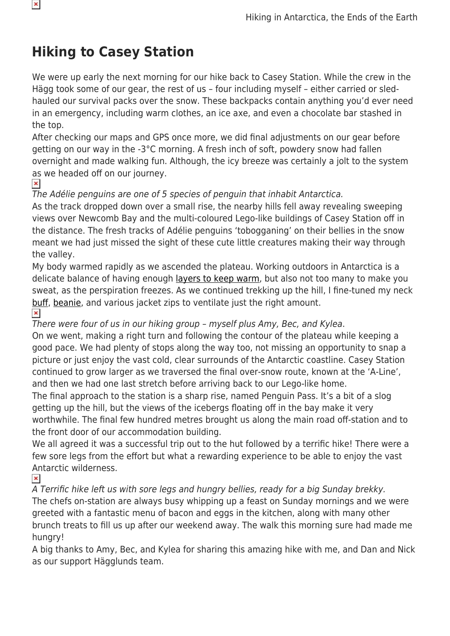## **Hiking to Casey Station**

We were up early the next morning for our hike back to Casey Station. While the crew in the Hägg took some of our gear, the rest of us – four including myself – either carried or sledhauled our survival packs over the snow. These backpacks contain anything you'd ever need in an emergency, including warm clothes, an ice axe, and even a chocolate bar stashed in the top.

After checking our maps and GPS once more, we did final adjustments on our gear before getting on our way in the -3°C morning. A fresh inch of soft, powdery snow had fallen overnight and made walking fun. Although, the icy breeze was certainly a jolt to the system as we headed off on our journey.

 $\pmb{\times}$ 

## The Adélie penguins are one of 5 species of penguin that inhabit Antarctica.

As the track dropped down over a small rise, the nearby hills fell away revealing sweeping views over Newcomb Bay and the multi-coloured Lego-like buildings of Casey Station off in the distance. The fresh tracks of Adélie penguins 'tobogganing' on their bellies in the snow meant we had just missed the sight of these cute little creatures making their way through the valley.

My body warmed rapidly as we ascended the plateau. Working outdoors in Antarctica is a delicate balance of having enough [layers to keep warm](https://www.snowys.com.au/hiking-outdoor-thermals), but also not too many to make you sweat, as the perspiration freezes. As we continued trekking up the hill, I fine-tuned my neck [buff,](https://www.snowys.com.au/buff) [beanie](https://www.snowys.com.au/sherpa), and various jacket zips to ventilate just the right amount.

 $\pmb{\times}$ 

There were four of us in our hiking group – myself plus Amy, Bec, and Kylea.

On we went, making a right turn and following the contour of the plateau while keeping a good pace. We had plenty of stops along the way too, not missing an opportunity to snap a picture or just enjoy the vast cold, clear surrounds of the Antarctic coastline. Casey Station continued to grow larger as we traversed the final over-snow route, known at the 'A-Line', and then we had one last stretch before arriving back to our Lego-like home.

The final approach to the station is a sharp rise, named Penguin Pass. It's a bit of a slog getting up the hill, but the views of the icebergs floating off in the bay make it very worthwhile. The final few hundred metres brought us along the main road off-station and to the front door of our accommodation building.

We all agreed it was a successful trip out to the hut followed by a terrific hike! There were a few sore legs from the effort but what a rewarding experience to be able to enjoy the vast Antarctic wilderness.

 $\pmb{\times}$ 

A Terrific hike left us with sore legs and hungry bellies, ready for a big Sunday brekky. The chefs on-station are always busy whipping up a feast on Sunday mornings and we were greeted with a fantastic menu of bacon and eggs in the kitchen, along with many other brunch treats to fill us up after our weekend away. The walk this morning sure had made me hungry!

A big thanks to Amy, Bec, and Kylea for sharing this amazing hike with me, and Dan and Nick as our support Hägglunds team.